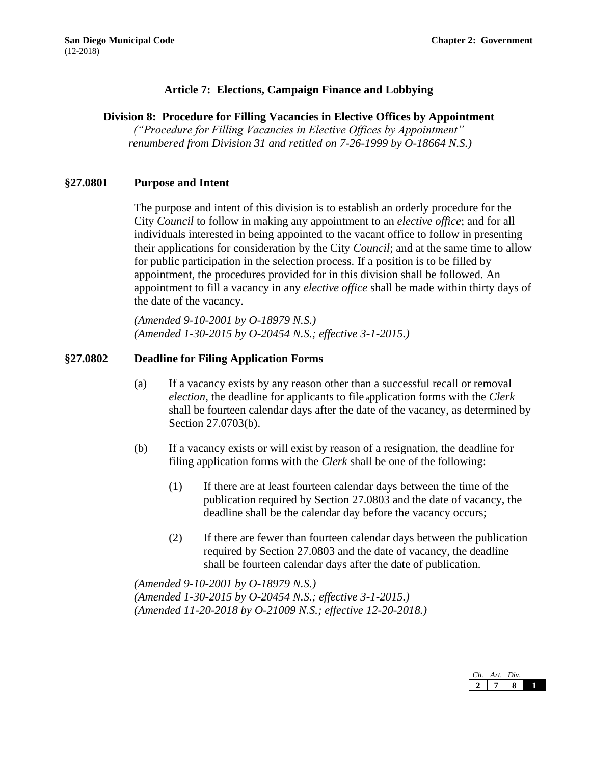# **Article 7: Elections, Campaign Finance and Lobbying**

### **Division 8: Procedure for Filling Vacancies in Elective Offices by Appointment**

*("Procedure for Filling Vacancies in Elective Offices by Appointment" renumbered from Division 31 and retitled on 7-26-1999 by O-18664 N.S.)*

### **§27.0801 Purpose and Intent**

The purpose and intent of this division is to establish an orderly procedure for the City *Council* to follow in making any appointment to an *elective office*; and for all individuals interested in being appointed to the vacant office to follow in presenting their applications for consideration by the City *Council*; and at the same time to allow for public participation in the selection process. If a position is to be filled by appointment, the procedures provided for in this division shall be followed. An appointment to fill a vacancy in any *elective office* shall be made within thirty days of the date of the vacancy.

*(Amended 9-10-2001 by O-18979 N.S.) (Amended 1-30-2015 by O-20454 N.S.; effective 3-1-2015.)*

### **§27.0802 Deadline for Filing Application Forms**

- (a) If a vacancy exists by any reason other than a successful recall or removal *election*, the deadline for applicants to file <sup>a</sup>pplication forms with the *Clerk*  shall be fourteen calendar days after the date of the vacancy, as determined by Section 27.0703(b).
- (b) If a vacancy exists or will exist by reason of a resignation, the deadline for filing application forms with the *Clerk* shall be one of the following:
	- (1) If there are at least fourteen calendar days between the time of the publication required by Section 27.0803 and the date of vacancy, the deadline shall be the calendar day before the vacancy occurs;
	- (2) If there are fewer than fourteen calendar days between the publication required by Section 27.0803 and the date of vacancy, the deadline shall be fourteen calendar days after the date of publication.

*(Amended 9-10-2001 by O-18979 N.S.) (Amended 1-30-2015 by O-20454 N.S.; effective 3-1-2015.) (Amended 11-20-2018 by O-21009 N.S.; effective 12-20-2018.)*

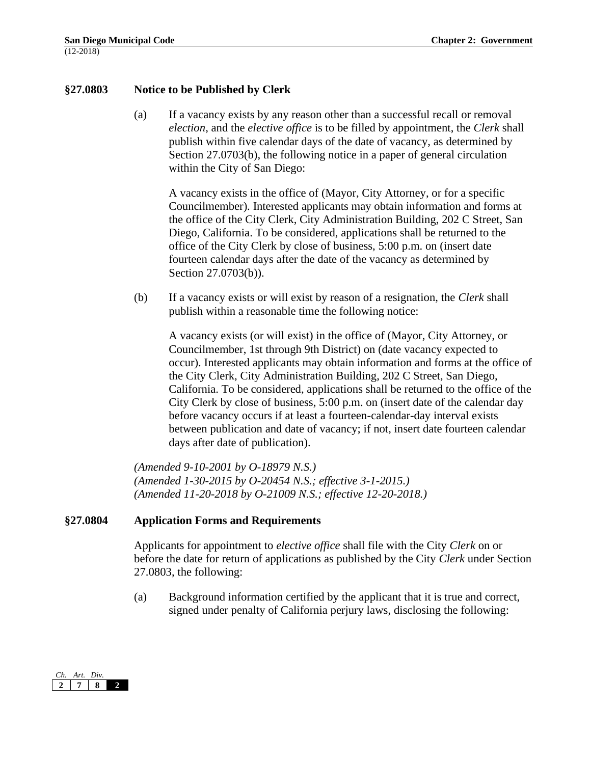### **§27.0803 Notice to be Published by Clerk**

(a) If a vacancy exists by any reason other than a successful recall or removal *election*, and the *elective office* is to be filled by appointment, the *Clerk* shall publish within five calendar days of the date of vacancy, as determined by Section 27.0703(b), the following notice in a paper of general circulation within the City of San Diego:

A vacancy exists in the office of (Mayor, City Attorney, or for a specific Councilmember). Interested applicants may obtain information and forms at the office of the City Clerk, City Administration Building, 202 C Street, San Diego, California. To be considered, applications shall be returned to the office of the City Clerk by close of business, 5:00 p.m. on (insert date fourteen calendar days after the date of the vacancy as determined by Section 27.0703(b)).

(b) If a vacancy exists or will exist by reason of a resignation, the *Clerk* shall publish within a reasonable time the following notice:

A vacancy exists (or will exist) in the office of (Mayor, City Attorney, or Councilmember, 1st through 9th District) on (date vacancy expected to occur). Interested applicants may obtain information and forms at the office of the City Clerk, City Administration Building, 202 C Street, San Diego, California. To be considered, applications shall be returned to the office of the City Clerk by close of business, 5:00 p.m. on (insert date of the calendar day before vacancy occurs if at least a fourteen-calendar-day interval exists between publication and date of vacancy; if not, insert date fourteen calendar days after date of publication).

*(Amended 9-10-2001 by O-18979 N.S.) (Amended 1-30-2015 by O-20454 N.S.; effective 3-1-2015.) (Amended 11-20-2018 by O-21009 N.S.; effective 12-20-2018.)*

### **§27.0804 Application Forms and Requirements**

Applicants for appointment to *elective office* shall file with the City *Clerk* on or before the date for return of applications as published by the City *Clerk* under Section 27.0803, the following:

(a) Background information certified by the applicant that it is true and correct, signed under penalty of California perjury laws, disclosing the following:

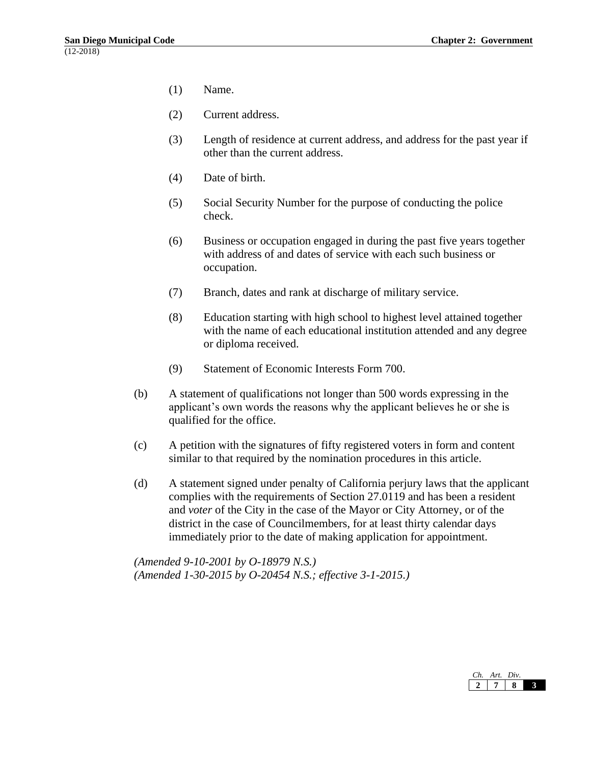- (1) Name.
- (2) Current address.
- (3) Length of residence at current address, and address for the past year if other than the current address.
- (4) Date of birth.
- (5) Social Security Number for the purpose of conducting the police check.
- (6) Business or occupation engaged in during the past five years together with address of and dates of service with each such business or occupation.
- (7) Branch, dates and rank at discharge of military service.
- (8) Education starting with high school to highest level attained together with the name of each educational institution attended and any degree or diploma received.
- (9) Statement of Economic Interests Form 700.
- (b) A statement of qualifications not longer than 500 words expressing in the applicant's own words the reasons why the applicant believes he or she is qualified for the office.
- (c) A petition with the signatures of fifty registered voters in form and content similar to that required by the nomination procedures in this article.
- (d) A statement signed under penalty of California perjury laws that the applicant complies with the requirements of Section 27.0119 and has been a resident and *voter* of the City in the case of the Mayor or City Attorney, or of the district in the case of Councilmembers, for at least thirty calendar days immediately prior to the date of making application for appointment.

*(Amended 9-10-2001 by O-18979 N.S.) (Amended 1-30-2015 by O-20454 N.S.; effective 3-1-2015.)*

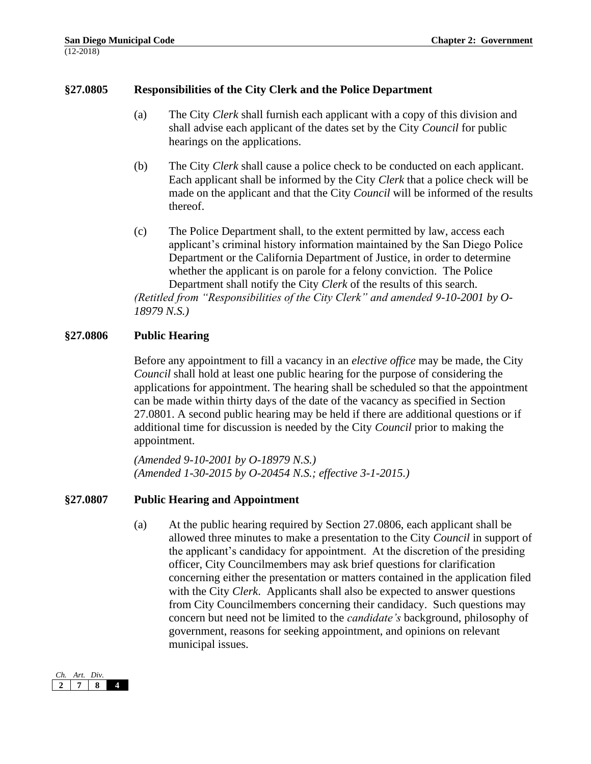## **§27.0805 Responsibilities of the City Clerk and the Police Department**

- (a) The City *Clerk* shall furnish each applicant with a copy of this division and shall advise each applicant of the dates set by the City *Council* for public hearings on the applications.
- (b) The City *Clerk* shall cause a police check to be conducted on each applicant. Each applicant shall be informed by the City *Clerk* that a police check will be made on the applicant and that the City *Council* will be informed of the results thereof.
- (c) The Police Department shall, to the extent permitted by law, access each applicant's criminal history information maintained by the San Diego Police Department or the California Department of Justice, in order to determine whether the applicant is on parole for a felony conviction. The Police Department shall notify the City *Clerk* of the results of this search. *(Retitled from "Responsibilities of the City Clerk" and amended 9-10-2001 by O-18979 N.S.)*

### **§27.0806 Public Hearing**

Before any appointment to fill a vacancy in an *elective office* may be made, the City *Council* shall hold at least one public hearing for the purpose of considering the applications for appointment. The hearing shall be scheduled so that the appointment can be made within thirty days of the date of the vacancy as specified in Section 27.0801. A second public hearing may be held if there are additional questions or if additional time for discussion is needed by the City *Council* prior to making the appointment.

*(Amended 9-10-2001 by O-18979 N.S.) (Amended 1-30-2015 by O-20454 N.S.; effective 3-1-2015.)*

### **§27.0807 Public Hearing and Appointment**

(a) At the public hearing required by Section 27.0806, each applicant shall be allowed three minutes to make a presentation to the City *Council* in support of the applicant's candidacy for appointment. At the discretion of the presiding officer, City Councilmembers may ask brief questions for clarification concerning either the presentation or matters contained in the application filed with the City *Clerk*. Applicants shall also be expected to answer questions from City Councilmembers concerning their candidacy. Such questions may concern but need not be limited to the *candidate's* background, philosophy of government, reasons for seeking appointment, and opinions on relevant municipal issues.